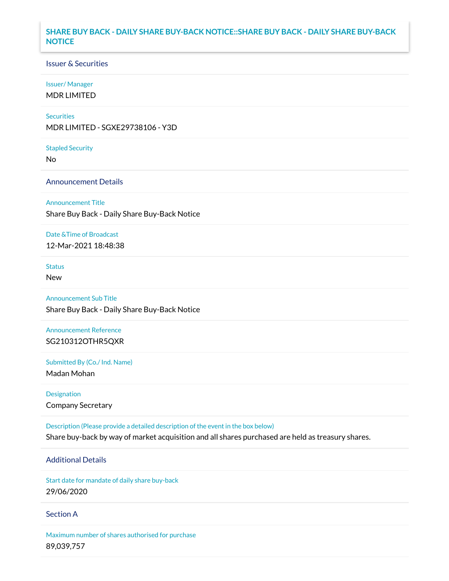## **SHARE BUY BACK - DAILY SHARE BUY-BACK NOTICE::SHARE BUY BACK - DAILY SHARE BUY-BACK NOTICE**

## Issuer & Securities

### Issuer/ Manager

MDR LIMITED

### **Securities**

MDR LIMITED - SGXE29738106 - Y3D

#### Stapled Security

No

## Announcement Details

### Announcement Title

Share Buy Back - Daily Share Buy-Back Notice

### Date &Time of Broadcast

12-Mar-2021 18:48:38

# Status

New

# Announcement Sub Title

Share Buy Back - Daily Share Buy-Back Notice

# Announcement Reference SG210312OTHR5QXR

Submitted By (Co./ Ind. Name)

Madan Mohan

# Designation Company Secretary

Description (Please provide a detailed description of the event in the box below) Share buy-back by way of market acquisition and all shares purchased are held as treasury shares.

# Additional Details

Start date for mandate of daily share buy-back 29/06/2020

## Section A

Maximum number of shares authorised for purchase 89,039,757